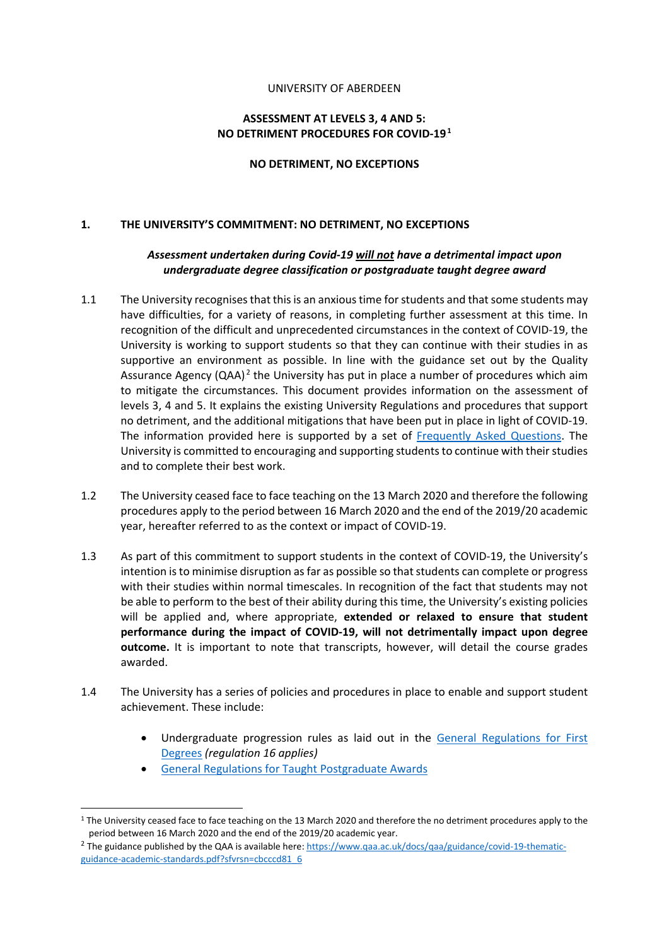#### UNIVERSITY OF ABERDEEN

### **ASSESSMENT AT LEVELS 3, 4 AND 5: NO DETRIMENT PROCEDURES FOR COVID-19.**

#### **NO DETRIMENT, NO EXCEPTIONS**

### **1. THE UNIVERSITY'S COMMITMENT: NO DETRIMENT, NO EXCEPTIONS**

### *Assessment undertaken during Covid-19 will not have a detrimental impact upon undergraduate degree classification or postgraduate taught degree award*

- 1.1 The University recognises that this is an anxious time for students and that some students may have difficulties, for a variety of reasons, in completing further assessment at this time. In recognition of the difficult and unprecedented circumstances in the context of COVID-19, the University is working to support students so that they can continue with their studies in as supportive an environment as possible. In line with the guidance set out by the Quality Assurance Agency (QAA).<sup>2</sup> the University has put in place a number of procedures which aim to mitigate the circumstances. This document provides information on the assessment of levels 3, 4 and 5. It explains the existing University Regulations and procedures that support no detriment, and the additional mitigations that have been put in place in light of COVID-19. The information provided here is supported by a set of [Frequently Asked Questions.](https://www.abdn.ac.uk/staffnet/working-here/coronavirus/faqs-9773.php) The University is committed to encouraging and supporting students to continue with their studies and to complete their best work.
- 1.2 The University ceased face to face teaching on the 13 March 2020 and therefore the following procedures apply to the period between 16 March 2020 and the end of the 2019/20 academic year, hereafter referred to as the context or impact of COVID-19.
- 1.3 As part of this commitment to support students in the context of COVID-19, the University's intention is to minimise disruption as far as possible so that students can complete or progress with their studies within normal timescales. In recognition of the fact that students may not be able to perform to the best of their ability during this time, the University's existing policies will be applied and, where appropriate, **extended or relaxed to ensure that student performance during the impact of COVID-19, will not detrimentally impact upon degree outcome.** It is important to note that transcripts, however, will detail the course grades awarded.
- 1.4 The University has a series of policies and procedures in place to enable and support student achievement. These include:
	- Undergraduate progression rules as laid out in the [General Regulations for First](https://www.abdn.ac.uk/registry/calendar/general-regulations.php)  [Degrees](https://www.abdn.ac.uk/registry/calendar/general-regulations.php) *(regulation 16 applies)*
	- [General Regulations for Taught Postgraduate Awards](https://www.abdn.ac.uk/registry/calendar/documents/ScheduleB.doc)

 $1$  The University ceased face to face teaching on the 13 March 2020 and therefore the no detriment procedures apply to the period between 16 March 2020 and the end of the 2019/20 academic year.

<sup>&</sup>lt;sup>2</sup> The guidance published by the QAA is available here: [https://www.qaa.ac.uk/docs/qaa/guidance/covid-19-thematic](https://www.qaa.ac.uk/docs/qaa/guidance/covid-19-thematic-guidance-academic-standards.pdf?sfvrsn=cbcccd81_6)[guidance-academic-standards.pdf?sfvrsn=cbcccd81\\_6](https://www.qaa.ac.uk/docs/qaa/guidance/covid-19-thematic-guidance-academic-standards.pdf?sfvrsn=cbcccd81_6)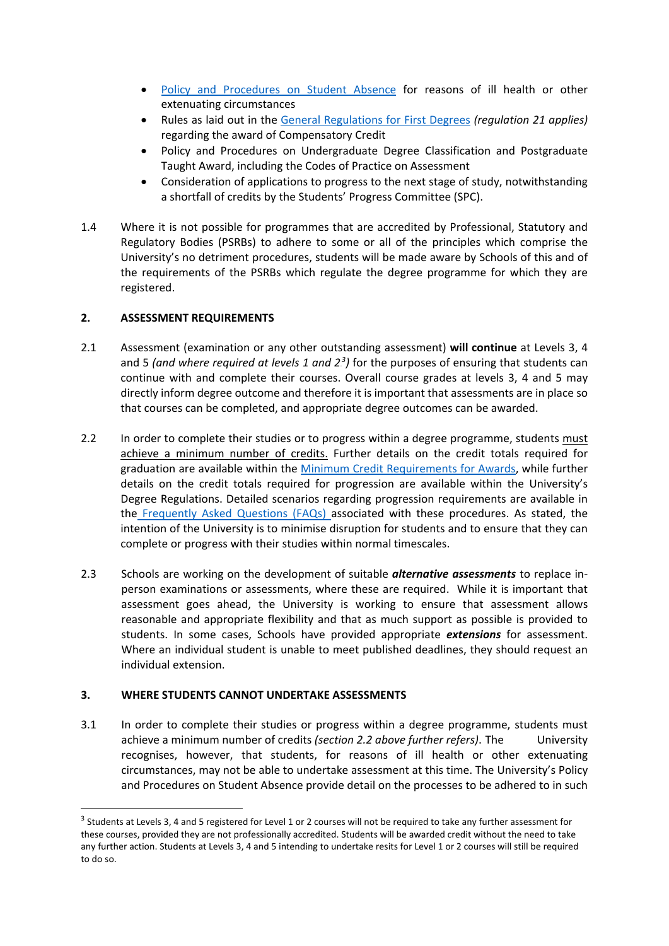- [Policy and Procedures on Student Absence](https://www.abdn.ac.uk/staffnet/documents/academic-quality-handbook/Policy%20-%20Student%20Absence.pdf) for reasons of ill health or other extenuating circumstances
- Rules as laid out in the [General Regulations for First Degrees](https://www.abdn.ac.uk/registry/calendar/general-regulations.php) *(regulation 21 applies)* regarding the award of Compensatory Credit
- Policy and Procedures on Undergraduate Degree Classification and Postgraduate Taught Award, including the Codes of Practice on Assessment
- Consideration of applications to progress to the next stage of study, notwithstanding a shortfall of credits by the Students' Progress Committee (SPC).
- 1.4 Where it is not possible for programmes that are accredited by Professional, Statutory and Regulatory Bodies (PSRBs) to adhere to some or all of the principles which comprise the University's no detriment procedures, students will be made aware by Schools of this and of the requirements of the PSRBs which regulate the degree programme for which they are registered.

### **2. ASSESSMENT REQUIREMENTS**

- 2.1 Assessment (examination or any other outstanding assessment) **will continue** at Levels 3, 4 and 5 (and where required at levels 1 and 2<sup>3</sup>) for the purposes of ensuring that students can continue with and complete their courses. Overall course grades at levels 3, 4 and 5 may directly inform degree outcome and therefore it is important that assessments are in place so that courses can be completed, and appropriate degree outcomes can be awarded.
- 2.2 In order to complete their studies or to progress within a degree programme, students must achieve a minimum number of credits. Further details on the credit totals required for graduation are available within the [Minimum Credit Requirements for Awards,](https://www.abdn.ac.uk/staffnet/documents/academic-quality-handbook/AandF%20-%20Minimum%20Credit%20Requirements%20for%20Awards%20UG%20and%20PGT.pdf) while further details on the credit totals required for progression are available within the University's Degree Regulations. Detailed scenarios regarding progression requirements are available in the [Frequently Asked Questions \(FAQs\) a](https://www.abdn.ac.uk/staffnet/working-here/coronavirus/faqs-9773.php)ssociated with these procedures. As stated, the intention of the University is to minimise disruption for students and to ensure that they can complete or progress with their studies within normal timescales.
- 2.3 Schools are working on the development of suitable *alternative assessments* to replace inperson examinations or assessments, where these are required. While it is important that assessment goes ahead, the University is working to ensure that assessment allows reasonable and appropriate flexibility and that as much support as possible is provided to students. In some cases, Schools have provided appropriate *extensions* for assessment. Where an individual student is unable to meet published deadlines, they should request an individual extension.

# **3. WHERE STUDENTS CANNOT UNDERTAKE ASSESSMENTS**

3.1 In order to complete their studies or progress within a degree programme, students must achieve a minimum number of credits *(section 2.2 above further refers)*. The University recognises, however, that students, for reasons of ill health or other extenuating circumstances, may not be able to undertake assessment at this time. The University's Policy and Procedures on Student Absence provide detail on the processes to be adhered to in such

<sup>&</sup>lt;sup>3</sup> Students at Levels 3, 4 and 5 registered for Level 1 or 2 courses will not be required to take any further assessment for these courses, provided they are not professionally accredited. Students will be awarded credit without the need to take any further action. Students at Levels 3, 4 and 5 intending to undertake resits for Level 1 or 2 courses will still be required to do so.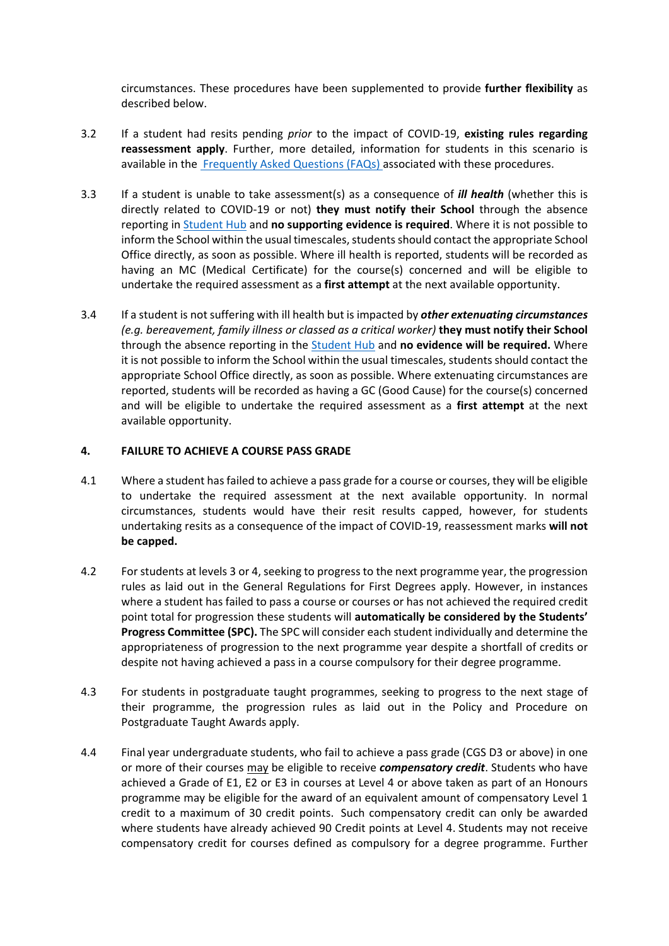circumstances. These procedures have been supplemented to provide **further flexibility** as described below.

- 3.2 If a student had resits pending *prior* to the impact of COVID-19, **existing rules regarding reassessment apply**. Further, more detailed, information for students in this scenario is available in the [Frequently Asked Questions \(FAQs\) a](https://www.abdn.ac.uk/staffnet/working-here/coronavirus/faqs-9773.php)ssociated with these procedures.
- 3.3 If a student is unable to take assessment(s) as a consequence of *ill health* (whether this is directly related to COVID-19 or not) **they must notify their School** through the absence reporting in [Student Hub](https://www.abdn.ac.uk/studenthub) and **no supporting evidence is required**. Where it is not possible to inform the School within the usual timescales, students should contact the appropriate School Office directly, as soon as possible. Where ill health is reported, students will be recorded as having an MC (Medical Certificate) for the course(s) concerned and will be eligible to undertake the required assessment as a **first attempt** at the next available opportunity.
- 3.4 If a student is not suffering with ill health but is impacted by *other extenuating circumstances (e.g. bereavement, family illness or classed as a critical worker)* **they must notify their School** through the absence reporting in the [Student Hub](https://www.abdn.ac.uk/studenthub) and **no evidence will be required.** Where it is not possible to inform the School within the usual timescales, students should contact the appropriate School Office directly, as soon as possible. Where extenuating circumstances are reported, students will be recorded as having a GC (Good Cause) for the course(s) concerned and will be eligible to undertake the required assessment as a **first attempt** at the next available opportunity.

#### **4. FAILURE TO ACHIEVE A COURSE PASS GRADE**

- 4.1 Where a student has failed to achieve a pass grade for a course or courses, they will be eligible to undertake the required assessment at the next available opportunity. In normal circumstances, students would have their resit results capped, however, for students undertaking resits as a consequence of the impact of COVID-19, reassessment marks **will not be capped.**
- 4.2 For students at levels 3 or 4, seeking to progress to the next programme year, the progression rules as laid out in the General Regulations for First Degrees apply. However, in instances where a student has failed to pass a course or courses or has not achieved the required credit point total for progression these students will **automatically be considered by the Students' Progress Committee (SPC).** The SPC will consider each student individually and determine the appropriateness of progression to the next programme year despite a shortfall of credits or despite not having achieved a pass in a course compulsory for their degree programme.
- 4.3 For students in postgraduate taught programmes, seeking to progress to the next stage of their programme, the progression rules as laid out in the Policy and Procedure on Postgraduate Taught Awards apply.
- 4.4 Final year undergraduate students, who fail to achieve a pass grade (CGS D3 or above) in one or more of their courses may be eligible to receive *compensatory credit*. Students who have achieved a Grade of E1, E2 or E3 in courses at Level 4 or above taken as part of an Honours programme may be eligible for the award of an equivalent amount of compensatory Level 1 credit to a maximum of 30 credit points. Such compensatory credit can only be awarded where students have already achieved 90 Credit points at Level 4. Students may not receive compensatory credit for courses defined as compulsory for a degree programme. Further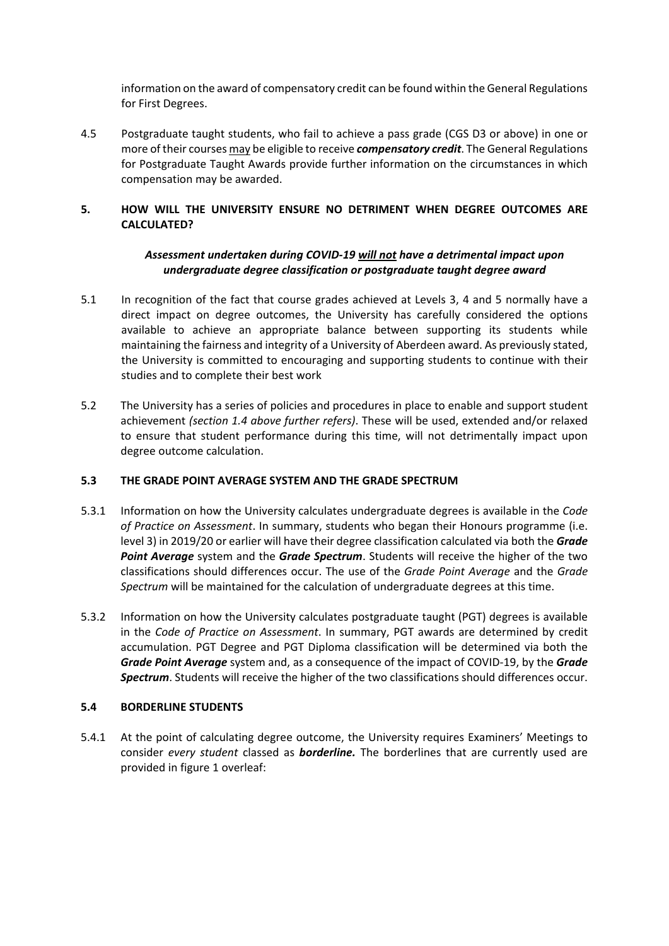information on the award of compensatory credit can be found within the General Regulations for First Degrees.

4.5 Postgraduate taught students, who fail to achieve a pass grade (CGS D3 or above) in one or more of their courses may be eligible to receive *compensatory credit*. The General Regulations for Postgraduate Taught Awards provide further information on the circumstances in which compensation may be awarded.

# **5. HOW WILL THE UNIVERSITY ENSURE NO DETRIMENT WHEN DEGREE OUTCOMES ARE CALCULATED?**

# *Assessment undertaken during COVID-19 will not have a detrimental impact upon undergraduate degree classification or postgraduate taught degree award*

- 5.1 In recognition of the fact that course grades achieved at Levels 3, 4 and 5 normally have a direct impact on degree outcomes, the University has carefully considered the options available to achieve an appropriate balance between supporting its students while maintaining the fairness and integrity of a University of Aberdeen award. As previously stated, the University is committed to encouraging and supporting students to continue with their studies and to complete their best work
- 5.2 The University has a series of policies and procedures in place to enable and support student achievement *(section 1.4 above further refers)*. These will be used, extended and/or relaxed to ensure that student performance during this time, will not detrimentally impact upon degree outcome calculation.

#### **5.3 THE GRADE POINT AVERAGE SYSTEM AND THE GRADE SPECTRUM**

- 5.3.1 Information on how the University calculates undergraduate degrees is available in the *Code of Practice on Assessment*. In summary, students who began their Honours programme (i.e. level 3) in 2019/20 or earlier will have their degree classification calculated via both the *Grade Point Average* system and the *Grade Spectrum*. Students will receive the higher of the two classifications should differences occur. The use of the *Grade Point Average* and the *Grade Spectrum* will be maintained for the calculation of undergraduate degrees at this time.
- 5.3.2 Information on how the University calculates postgraduate taught (PGT) degrees is available in the *Code of Practice on Assessment*. In summary, PGT awards are determined by credit accumulation. PGT Degree and PGT Diploma classification will be determined via both the *Grade Point Average* system and, as a consequence of the impact of COVID-19, by the *Grade Spectrum*. Students will receive the higher of the two classifications should differences occur.

#### **5.4 BORDERLINE STUDENTS**

5.4.1 At the point of calculating degree outcome, the University requires Examiners' Meetings to consider *every student* classed as *borderline.* The borderlines that are currently used are provided in figure 1 overleaf: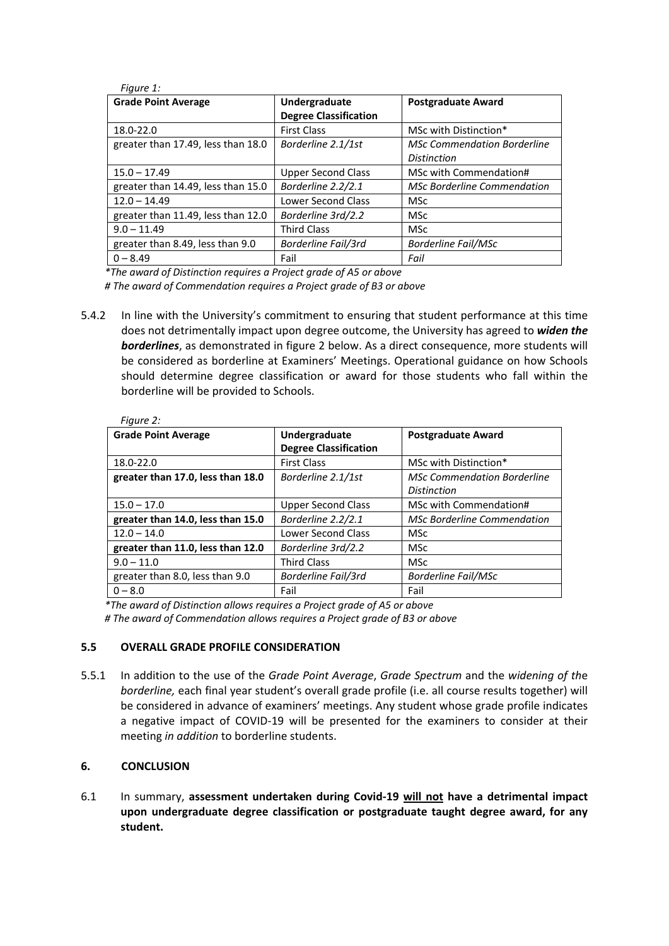| Figure 1:                          |                              |                                    |
|------------------------------------|------------------------------|------------------------------------|
| <b>Grade Point Average</b>         | Undergraduate                | <b>Postgraduate Award</b>          |
|                                    | <b>Degree Classification</b> |                                    |
| 18.0-22.0                          | <b>First Class</b>           | MSc with Distinction*              |
| greater than 17.49, less than 18.0 | Borderline 2.1/1st           | <b>MSc Commendation Borderline</b> |
|                                    |                              | <b>Distinction</b>                 |
| $15.0 - 17.49$                     | Upper Second Class           | MSc with Commendation#             |
| greater than 14.49, less than 15.0 | Borderline 2.2/2.1           | <b>MSc Borderline Commendation</b> |
| $12.0 - 14.49$                     | Lower Second Class           | <b>MSc</b>                         |
| greater than 11.49, less than 12.0 | Borderline 3rd/2.2           | <b>MSc</b>                         |
| $9.0 - 11.49$                      | <b>Third Class</b>           | <b>MSc</b>                         |
| greater than 8.49, less than 9.0   | Borderline Fail/3rd          | <b>Borderline Fail/MSc</b>         |
| $0 - 8.49$                         | Fail                         | Fail                               |

*\*The award of Distinction requires a Project grade of A5 or above*

*# The award of Commendation requires a Project grade of B3 or above*

5.4.2 In line with the University's commitment to ensuring that student performance at this time does not detrimentally impact upon degree outcome, the University has agreed to *widen the borderlines*, as demonstrated in figure 2 below. As a direct consequence, more students will be considered as borderline at Examiners' Meetings. Operational guidance on how Schools should determine degree classification or award for those students who fall within the borderline will be provided to Schools.

| Figure 2:                         |                              |                                    |
|-----------------------------------|------------------------------|------------------------------------|
| <b>Grade Point Average</b>        | Undergraduate                | <b>Postgraduate Award</b>          |
|                                   | <b>Degree Classification</b> |                                    |
| 18.0-22.0                         | <b>First Class</b>           | MSc with Distinction*              |
| greater than 17.0, less than 18.0 | Borderline 2.1/1st           | <b>MSc Commendation Borderline</b> |
|                                   |                              | <b>Distinction</b>                 |
| $15.0 - 17.0$                     | Upper Second Class           | MSc with Commendation#             |
| greater than 14.0, less than 15.0 | Borderline 2.2/2.1           | <b>MSc Borderline Commendation</b> |
| $12.0 - 14.0$                     | Lower Second Class           | <b>MSc</b>                         |
| greater than 11.0, less than 12.0 | Borderline 3rd/2.2           | <b>MSc</b>                         |
| $9.0 - 11.0$                      | <b>Third Class</b>           | <b>MSc</b>                         |
| greater than 8.0, less than 9.0   | Borderline Fail/3rd          | <b>Borderline Fail/MSc</b>         |
| $0 - 8.0$                         | Fail                         | Fail                               |

*\*The award of Distinction allows requires a Project grade of A5 or above*

*# The award of Commendation allows requires a Project grade of B3 or above*

#### **5.5 OVERALL GRADE PROFILE CONSIDERATION**

5.5.1 In addition to the use of the *Grade Point Average*, *Grade Spectrum* and the *widening of th*e *borderline,* each final year student's overall grade profile (i.e. all course results together) will be considered in advance of examiners' meetings. Any student whose grade profile indicates a negative impact of COVID-19 will be presented for the examiners to consider at their meeting *in addition* to borderline students.

# **6. CONCLUSION**

6.1 In summary, **assessment undertaken during Covid-19 will not have a detrimental impact upon undergraduate degree classification or postgraduate taught degree award, for any student.**